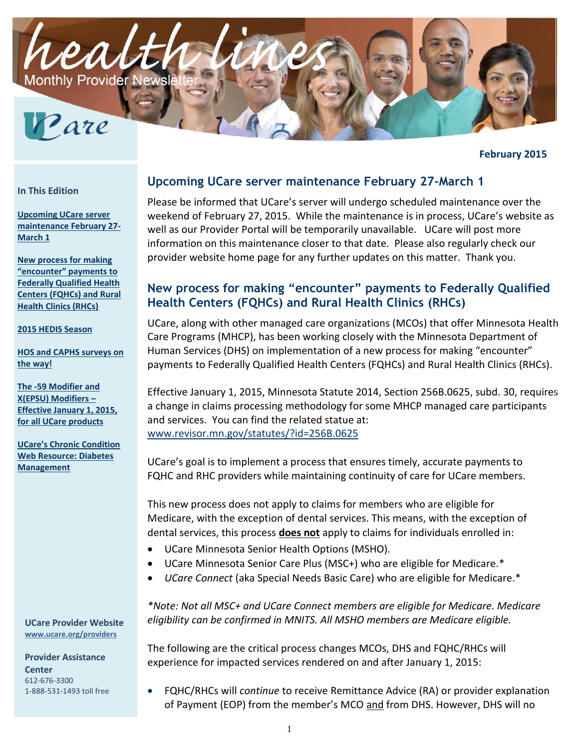

**February 2015**

#### **In This Edition**

**[Upcoming UCare server](#page-0-0)  [maintenance February 27-](#page-0-0) [March 1](#page-0-0)**

**[New process for](#page-0-1) making ["encounter" payments to](#page-0-1)  [Federally Qualified Health](#page-0-1)  [Centers \(FQHCs\) and Rural](#page-0-1)  [Health Clinics \(RHCs\)](#page-0-1)**

**[2015 HEDIS Season](#page-2-0)**

**[HOS and CAPHS surveys on](#page-2-1)  [the way!](#page-2-1)** 

**[The -59 Modifier and](#page-3-0)  [X\(EPSU\) Modifiers](#page-3-0) – [Effective January 1, 2015,](#page-3-0)  [for all UCare products](#page-3-0)**

**[UCare's Chronic Condition](#page-4-0)  [Web Resource: Diabetes](#page-4-0)  [Management](#page-4-0)**

**UCare Provider Website [www.ucare.org/providers](http://www.ucare.org/providers)**

**Provider Assistance Center** 612-676-3300 1-888-531-1493 toll free

### <span id="page-0-0"></span>**Upcoming UCare server maintenance February 27-March 1**

Please be informed that UCare's server will undergo scheduled maintenance over the weekend of February 27, 2015. While the maintenance is in process, UCare's website as well as our Provider Portal will be temporarily unavailable. UCare will post more information on this maintenance closer to that date. Please also regularly check our provider website home page for any further updates on this matter. Thank you.

## <span id="page-0-1"></span>**New process for making "encounter" payments to Federally Qualified Health Centers (FQHCs) and Rural Health Clinics (RHCs)**

UCare, along with other managed care organizations (MCOs) that offer Minnesota Health Care Programs (MHCP), has been working closely with the Minnesota Department of Human Services (DHS) on implementation of a new process for making "encounter" payments to Federally Qualified Health Centers (FQHCs) and Rural Health Clinics (RHCs).

Effective January 1, 2015, Minnesota Statute 2014, Section 256B.0625, subd. 30, requires a change in claims processing methodology for some MHCP managed care participants and services. You can find the related statue at: [www.revisor.mn.gov/statutes/?id=256B.0625](http://www.revisor.mn.gov/statutes/?id=256B.0625)

UCare's goal is to implement a process that ensures timely, accurate payments to FQHC and RHC providers while maintaining continuity of care for UCare members.

This new process does not apply to claims for members who are eligible for Medicare, with the exception of dental services. This means, with the exception of dental services, this process **does not** apply to claims for individuals enrolled in:

- UCare Minnesota Senior Health Options (MSHO).
- UCare Minnesota Senior Care Plus (MSC+) who are eligible for Medicare.\*
- *UCare Connect* (aka Special Needs Basic Care) who are eligible for Medicare.\*

*\*Note: Not all MSC+ and UCare Connect members are eligible for Medicare. Medicare eligibility can be confirmed in MNITS. All MSHO members are Medicare eligible.*

The following are the critical process changes MCOs, DHS and FQHC/RHCs will experience for impacted services rendered on and after January 1, 2015:

 FQHC/RHCs will *continue* to receive Remittance Advice (RA) or provider explanation of Payment (EOP) from the member's MCO and from DHS. However, DHS will no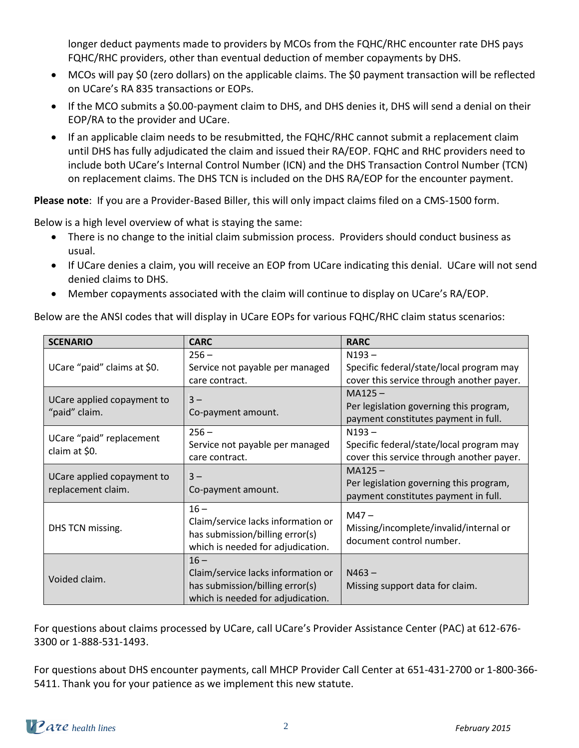longer deduct payments made to providers by MCOs from the FQHC/RHC encounter rate DHS pays FQHC/RHC providers, other than eventual deduction of member copayments by DHS.

- MCOs will pay \$0 (zero dollars) on the applicable claims. The \$0 payment transaction will be reflected on UCare's RA 835 transactions or EOPs.
- If the MCO submits a \$0.00-payment claim to DHS, and DHS denies it, DHS will send a denial on their EOP/RA to the provider and UCare.
- If an applicable claim needs to be resubmitted, the FQHC/RHC cannot submit a replacement claim until DHS has fully adjudicated the claim and issued their RA/EOP. FQHC and RHC providers need to include both UCare's Internal Control Number (ICN) and the DHS Transaction Control Number (TCN) on replacement claims. The DHS TCN is included on the DHS RA/EOP for the encounter payment.

**Please note**: If you are a Provider-Based Biller, this will only impact claims filed on a CMS-1500 form.

Below is a high level overview of what is staying the same:

- There is no change to the initial claim submission process. Providers should conduct business as usual.
- If UCare denies a claim, you will receive an EOP from UCare indicating this denial. UCare will not send denied claims to DHS.
- Member copayments associated with the claim will continue to display on UCare's RA/EOP.

Below are the ANSI codes that will display in UCare EOPs for various FQHC/RHC claim status scenarios:

| <b>SCENARIO</b>                                  | <b>CARC</b>                        | <b>RARC</b>                               |
|--------------------------------------------------|------------------------------------|-------------------------------------------|
| UCare "paid" claims at \$0.                      | $256 -$                            | $N193 -$                                  |
|                                                  | Service not payable per managed    | Specific federal/state/local program may  |
|                                                  | care contract.                     | cover this service through another payer. |
| UCare applied copayment to<br>"paid" claim.      | $3 -$                              | $MA125 -$                                 |
|                                                  | Co-payment amount.                 | Per legislation governing this program,   |
|                                                  |                                    | payment constitutes payment in full.      |
| UCare "paid" replacement<br>claim at \$0.        | $256 -$                            | $N193 -$                                  |
|                                                  | Service not payable per managed    | Specific federal/state/local program may  |
|                                                  | care contract.                     | cover this service through another payer. |
| UCare applied copayment to<br>replacement claim. | $3 -$                              | $MA125 -$                                 |
|                                                  | Co-payment amount.                 | Per legislation governing this program,   |
|                                                  |                                    | payment constitutes payment in full.      |
| DHS TCN missing.                                 | $16 -$                             | $M47 -$                                   |
|                                                  | Claim/service lacks information or | Missing/incomplete/invalid/internal or    |
|                                                  | has submission/billing error(s)    | document control number.                  |
|                                                  | which is needed for adjudication.  |                                           |
| Voided claim.                                    | $16 -$                             |                                           |
|                                                  | Claim/service lacks information or | $N463 -$                                  |
|                                                  | has submission/billing error(s)    | Missing support data for claim.           |
|                                                  | which is needed for adjudication.  |                                           |

For questions about claims processed by UCare, call UCare's Provider Assistance Center (PAC) at 612-676- 3300 or 1-888-531-1493.

For questions about DHS encounter payments, call MHCP Provider Call Center at 651-431-2700 or 1-800-366- 5411. Thank you for your patience as we implement this new statute.

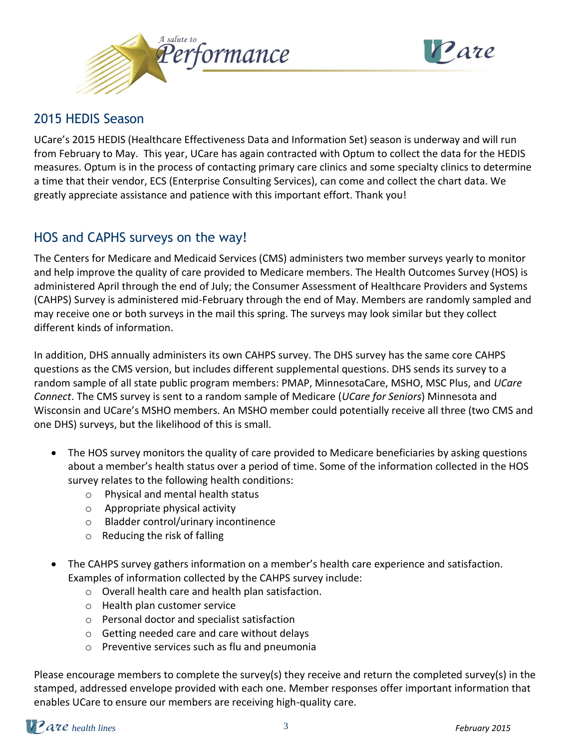

![](_page_2_Picture_1.jpeg)

## <span id="page-2-0"></span>[2015 HEDIS Season](#page-2-0)

UCare's 2015 HEDIS (Healthcare Effectiveness Data and Information Set) season is underway and will run from February to May. This year, UCare has again contracted with Optum to collect the data for the HEDIS measures. Optum is in the process of contacting primary care clinics and some specialty clinics to determine a time that their vendor, ECS (Enterprise Consulting Services), can come and collect the chart data. We greatly appreciate assistance and patience with this important effort. Thank you!

# <span id="page-2-1"></span>HOS and CAPHS surveys on the way!

The Centers for Medicare and Medicaid Services (CMS) administers two member surveys yearly to monitor and help improve the quality of care provided to Medicare members. The Health Outcomes Survey (HOS) is administered April through the end of July; the Consumer Assessment of Healthcare Providers and Systems (CAHPS) Survey is administered mid-February through the end of May. Members are randomly sampled and may receive one or both surveys in the mail this spring. The surveys may look similar but they collect different kinds of information.

In addition, DHS annually administers its own CAHPS survey. The DHS survey has the same core CAHPS questions as the CMS version, but includes different supplemental questions. DHS sends its survey to a random sample of all state public program members: PMAP, MinnesotaCare, MSHO, MSC Plus, and *UCare Connect*. The CMS survey is sent to a random sample of Medicare (*UCare for Seniors*) Minnesota and Wisconsin and UCare's MSHO members. An MSHO member could potentially receive all three (two CMS and one DHS) surveys, but the likelihood of this is small.

- The HOS survey monitors the quality of care provided to Medicare beneficiaries by asking questions about a member's health status over a period of time. Some of the information collected in the HOS survey relates to the following health conditions:
	- o Physical and mental health status
	- o Appropriate physical activity
	- o Bladder control/urinary incontinence
	- o Reducing the risk of falling
- The CAHPS survey gathers information on a member's health care experience and satisfaction. Examples of information collected by the CAHPS survey include:
	- o Overall health care and health plan satisfaction.
	- o Health plan customer service
	- o Personal doctor and specialist satisfaction
	- o Getting needed care and care without delays
	- o Preventive services such as flu and pneumonia

Please encourage members to complete the survey(s) they receive and return the completed survey(s) in the stamped, addressed envelope provided with each one. Member responses offer important information that enables UCare to ensure our members are receiving high-quality care.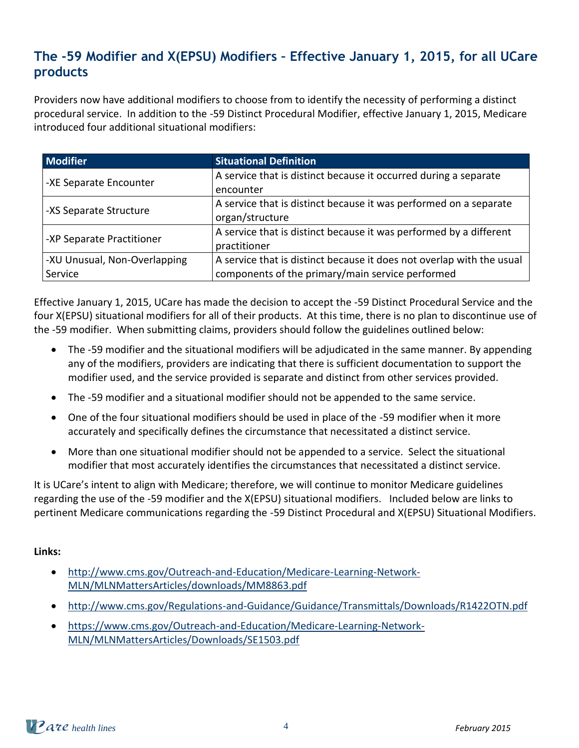# <span id="page-3-0"></span>**The -59 Modifier and X(EPSU) Modifiers – Effective January 1, 2015, for all UCare products**

Providers now have additional modifiers to choose from to identify the necessity of performing a distinct procedural service. In addition to the -59 Distinct Procedural Modifier, effective January 1, 2015, Medicare introduced four additional situational modifiers:

| <b>Modifier</b>              | <b>Situational Definition</b>                                         |  |
|------------------------------|-----------------------------------------------------------------------|--|
| -XE Separate Encounter       | A service that is distinct because it occurred during a separate      |  |
|                              | encounter                                                             |  |
| -XS Separate Structure       | A service that is distinct because it was performed on a separate     |  |
|                              | organ/structure                                                       |  |
|                              | A service that is distinct because it was performed by a different    |  |
| -XP Separate Practitioner    | practitioner                                                          |  |
| -XU Unusual, Non-Overlapping | A service that is distinct because it does not overlap with the usual |  |
| Service                      | components of the primary/main service performed                      |  |

Effective January 1, 2015, UCare has made the decision to accept the -59 Distinct Procedural Service and the four X(EPSU) situational modifiers for all of their products. At this time, there is no plan to discontinue use of the -59 modifier. When submitting claims, providers should follow the guidelines outlined below:

- The -59 modifier and the situational modifiers will be adjudicated in the same manner. By appending any of the modifiers, providers are indicating that there is sufficient documentation to support the modifier used, and the service provided is separate and distinct from other services provided.
- The -59 modifier and a situational modifier should not be appended to the same service.
- One of the four situational modifiers should be used in place of the -59 modifier when it more accurately and specifically defines the circumstance that necessitated a distinct service.
- More than one situational modifier should not be appended to a service. Select the situational modifier that most accurately identifies the circumstances that necessitated a distinct service.

It is UCare's intent to align with Medicare; therefore, we will continue to monitor Medicare guidelines regarding the use of the -59 modifier and the X(EPSU) situational modifiers. Included below are links to pertinent Medicare communications regarding the -59 Distinct Procedural and X(EPSU) Situational Modifiers.

### **Links:**

- [http://www.cms.gov/Outreach-and-Education/Medicare-Learning-Network-](http://www.cms.gov/Outreach-and-Education/Medicare-Learning-Network-MLN/MLNMattersArticles/downloads/MM8863.pdf)[MLN/MLNMattersArticles/downloads/MM8863.pdf](http://www.cms.gov/Outreach-and-Education/Medicare-Learning-Network-MLN/MLNMattersArticles/downloads/MM8863.pdf)
- <http://www.cms.gov/Regulations-and-Guidance/Guidance/Transmittals/Downloads/R1422OTN.pdf>
- [https://www.cms.gov/Outreach-and-Education/Medicare-Learning-Network-](https://www.cms.gov/Outreach-and-Education/Medicare-Learning-Network-MLN/MLNMattersArticles/Downloads/SE1503.pdf)[MLN/MLNMattersArticles/Downloads/SE1503.pdf](https://www.cms.gov/Outreach-and-Education/Medicare-Learning-Network-MLN/MLNMattersArticles/Downloads/SE1503.pdf)